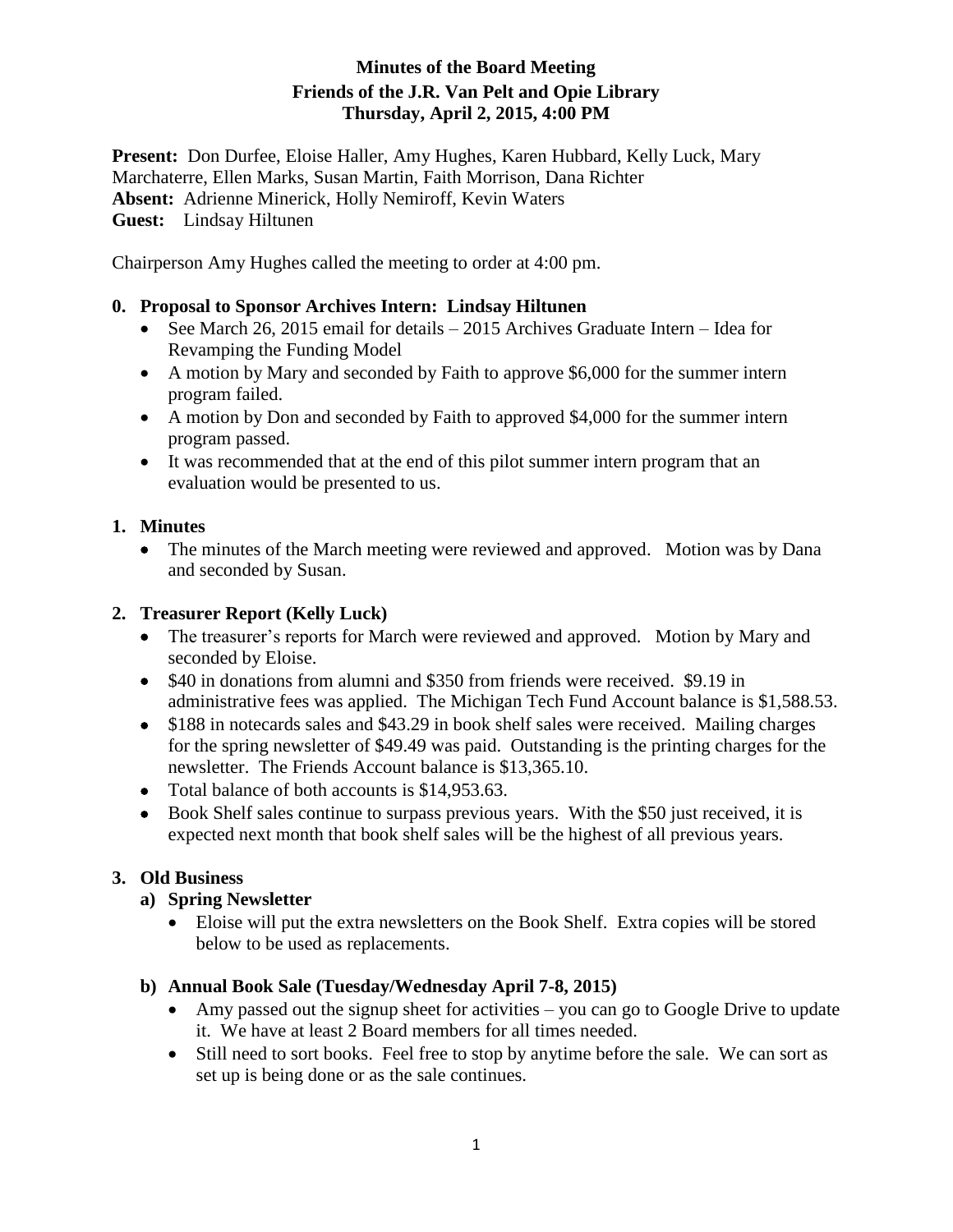### **Minutes of the Board Meeting Friends of the J.R. Van Pelt and Opie Library Thursday, April 2, 2015, 4:00 PM**

**Present:** Don Durfee, Eloise Haller, Amy Hughes, Karen Hubbard, Kelly Luck, Mary Marchaterre, Ellen Marks, Susan Martin, Faith Morrison, Dana Richter **Absent:** Adrienne Minerick, Holly Nemiroff, Kevin Waters **Guest:** Lindsay Hiltunen

Chairperson Amy Hughes called the meeting to order at 4:00 pm.

### **0. Proposal to Sponsor Archives Intern: Lindsay Hiltunen**

- See March 26, 2015 email for details  $-2015$  Archives Graduate Intern Idea for Revamping the Funding Model
- A motion by Mary and seconded by Faith to approve \$6,000 for the summer intern program failed.
- A motion by Don and seconded by Faith to approved \$4,000 for the summer intern program passed.
- It was recommended that at the end of this pilot summer intern program that an evaluation would be presented to us.

## **1. Minutes**

• The minutes of the March meeting were reviewed and approved. Motion was by Dana and seconded by Susan.

### **2. Treasurer Report (Kelly Luck)**

- The treasurer's reports for March were reviewed and approved. Motion by Mary and seconded by Eloise.
- \$40 in donations from alumni and \$350 from friends were received. \$9.19 in administrative fees was applied. The Michigan Tech Fund Account balance is \$1,588.53.
- \$188 in notecards sales and \$43.29 in book shelf sales were received. Mailing charges for the spring newsletter of \$49.49 was paid. Outstanding is the printing charges for the newsletter. The Friends Account balance is \$13,365.10.
- Total balance of both accounts is \$14,953.63.
- Book Shelf sales continue to surpass previous years. With the \$50 just received, it is expected next month that book shelf sales will be the highest of all previous years.

# **3. Old Business**

### **a) Spring Newsletter**

 Eloise will put the extra newsletters on the Book Shelf. Extra copies will be stored below to be used as replacements.

# **b) Annual Book Sale (Tuesday/Wednesday April 7-8, 2015)**

- Amy passed out the signup sheet for activities you can go to Google Drive to update it. We have at least 2 Board members for all times needed.
- Still need to sort books. Feel free to stop by anytime before the sale. We can sort as set up is being done or as the sale continues.